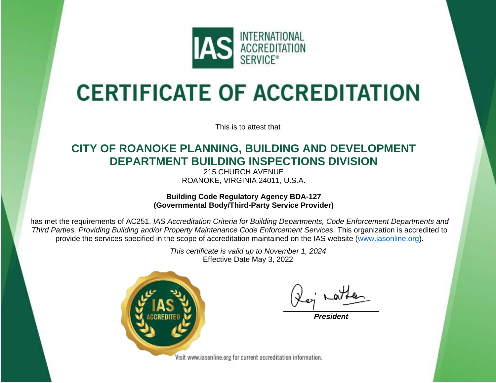

# **CERTIFICATE OF ACCREDITATION**

This is to attest that

### **CITY OF ROANOKE PLANNING, BUILDING AND DEVELOPMENT DEPARTMENT BUILDING INSPECTIONS DIVISION**

215 CHURCH AVENUE ROANOKE, VIRGINIA 24011, U.S.A.

**Building Code Regulatory Agency BDA-127 (Governmental Body/Third-Party Service Provider)**

has met the requirements of AC251, *IAS Accreditation Criteria for Building Departments, Code Enforcement Departments and Third Parties, Providing Building and/or Property Maintenance Code Enforcement Services.* This organization is accredited to provide the services specified in the scope of accreditation maintained on the IAS website [\(www.iasonline.org\)](http://www.iasonline.org/).

> *This certificate is valid up to November 1, 2024* Effective Date May 3, 2022



*President*

Visit www.iasonline.org for current accreditation information.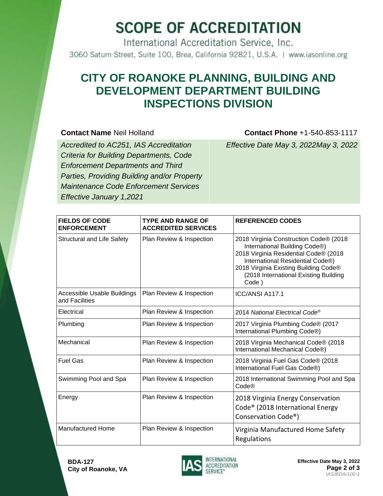## **SCOPE OF ACCREDITATION**

International Accreditation Service, Inc. 3060 Saturn Street, Suite 100, Brea, California 92821, U.S.A. | www.iasonline.org

#### **CITY OF ROANOKE PLANNING, BUILDING AND DEVELOPMENT DEPARTMENT BUILDING INSPECTIONS DIVISION**

#### **Contact Name** Neil Holland **Contact Phone** +1-540-853-1117

*Accredited to AC251, IAS Accreditation Criteria for Building Departments, Code Enforcement Departments and Third Parties, Providing Building and/or Property Maintenance Code Enforcement Services Effective January 1,2021*

*Effective Date May 3, 2022May 3, 2022*

| <b>FIELDS OF CODE</b><br><b>ENFORCEMENT</b>   | <b>TYPE AND RANGE OF</b><br><b>ACCREDITED SERVICES</b> | <b>REFERENCED CODES</b>                                                                                                                                                                                                                         |
|-----------------------------------------------|--------------------------------------------------------|-------------------------------------------------------------------------------------------------------------------------------------------------------------------------------------------------------------------------------------------------|
| <b>Structural and Life Safety</b>             | Plan Review & Inspection                               | 2018 Virginia Construction Code® (2018<br>International Building Code®)<br>2018 Virginia Residential Code® (2018<br>International Residential Code®)<br>2018 Virginia Existing Building Code®<br>(2018 International Existing Building<br>Code) |
| Accessible Usable Buildings<br>and Facilities | Plan Review & Inspection                               | <b>ICC/ANSI A117.1</b>                                                                                                                                                                                                                          |
| Electrical                                    | Plan Review & Inspection                               | 2014 National Electrical Code®                                                                                                                                                                                                                  |
| Plumbing                                      | Plan Review & Inspection                               | 2017 Virginia Plumbing Code® (2017<br>International Plumbing Code®)                                                                                                                                                                             |
| Mechanical                                    | Plan Review & Inspection                               | 2018 Virginia Mechanical Code® (2018<br>International Mechanical Code®)                                                                                                                                                                         |
| <b>Fuel Gas</b>                               | Plan Review & Inspection                               | 2018 Virginia Fuel Gas Code® (2018<br>International Fuel Gas Code®)                                                                                                                                                                             |
| Swimming Pool and Spa                         | Plan Review & Inspection                               | 2018 International Swimming Pool and Spa<br>Code®                                                                                                                                                                                               |
| Energy                                        | Plan Review & Inspection                               | 2018 Virginia Energy Conservation<br>Code <sup>®</sup> (2018 International Energy<br>Conservation Code <sup>®</sup> )                                                                                                                           |
| <b>Manufactured Home</b>                      | Plan Review & Inspection                               | Virginia Manufactured Home Safety<br><b>Regulations</b>                                                                                                                                                                                         |